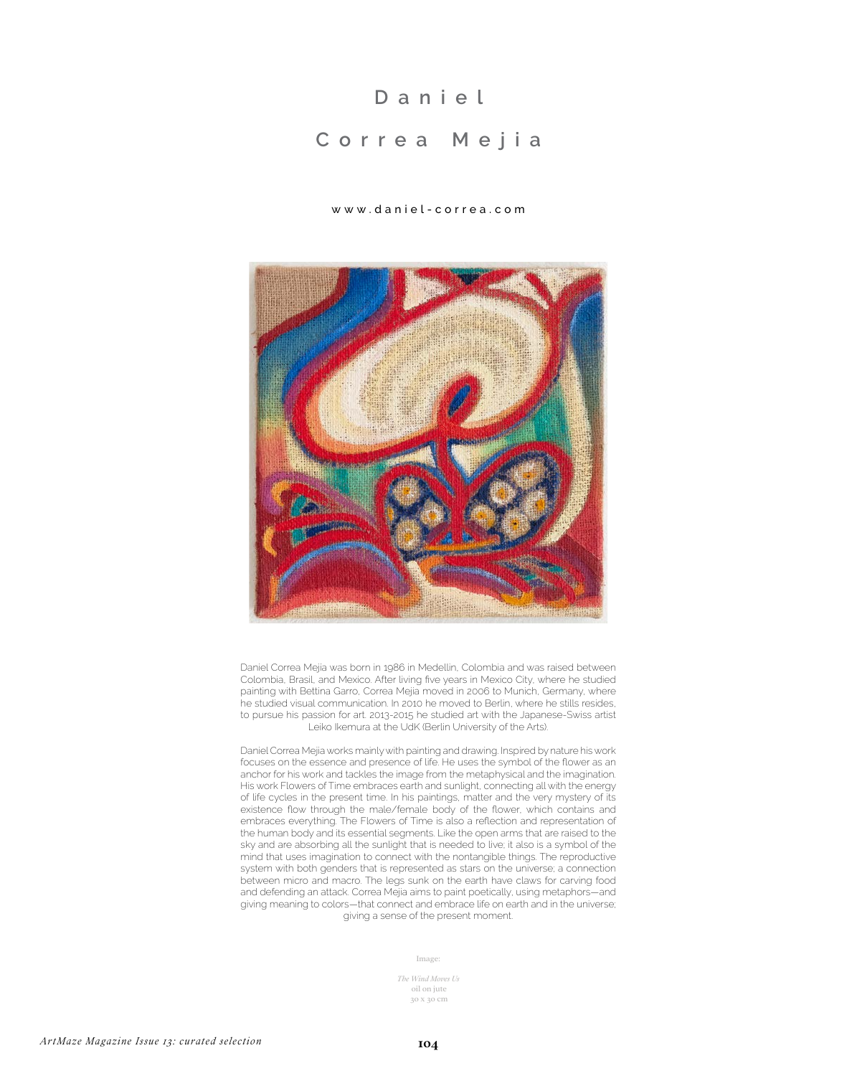## **D a n i e l**

## **Correa Mejia**

## www.daniel-correa.com



Daniel Correa Mejía was born in 1986 in Medellin, Colombia and was raised between Colombia, Brasil, and Mexico. After living five years in Mexico City, where he studied painting with Bettina Garro, Correa Mejia moved in 2006 to Munich, Germany, where he studied visual communication. In 2010 he moved to Berlin, where he stills resides, to pursue his passion for art. 2013-2015 he studied art with the Japanese-Swiss artist Leiko Ikemura at the UdK (Berlin University of the Arts).

Daniel Correa Mejia works mainly with painting and drawing. Inspired by nature his work focuses on the essence and presence of life. He uses the symbol of the flower as an anchor for his work and tackles the image from the metaphysical and the imagination. His work Flowers of Time embraces earth and sunlight, connecting all with the energy of life cycles in the present time. In his paintings, matter and the very mystery of its existence flow through the male/female body of the flower, which contains and embraces everything. The Flowers of Time is also a reflection and representation of the human body and its essential segments. Like the open arms that are raised to the sky and are absorbing all the sunlight that is needed to live; it also is a symbol of the mind that uses imagination to connect with the nontangible things. The reproductive system with both genders that is represented as stars on the universe; a connection between micro and macro. The legs sunk on the earth have claws for carving food and defending an attack. Correa Mejia aims to paint poetically, using metaphors—and giving meaning to colors—that connect and embrace life on earth and in the universe; giving a sense of the present moment.

Image:

*The Wind Moves Us* oil on jute 30 x 30 cm